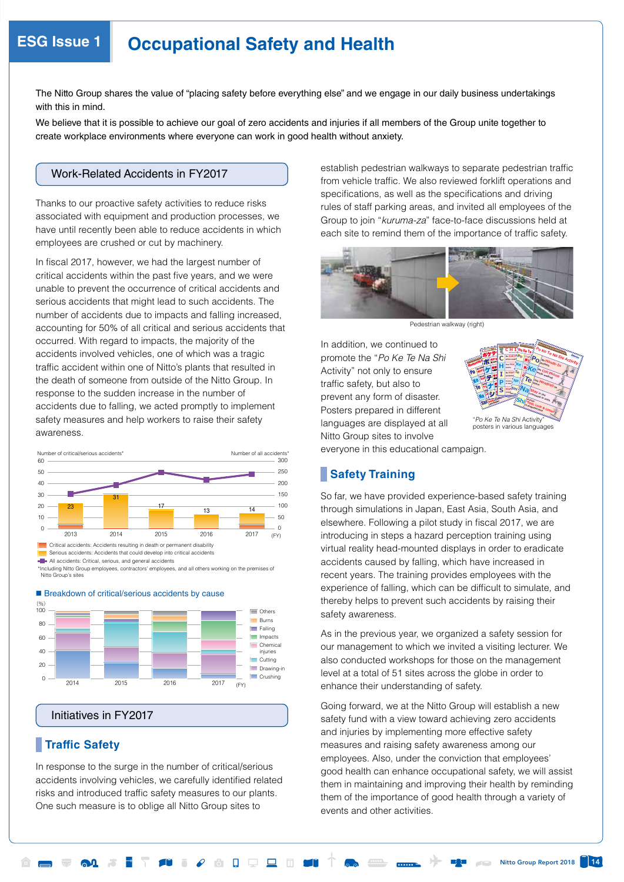# **ESG Issue 1 Occupational Safety and Health**

The Nitto Group shares the value of "placing safety before everything else" and we engage in our daily business undertakings with this in mind.

We believe that it is possible to achieve our goal of zero accidents and injuries if all members of the Group unite together to create workplace environments where everyone can work in good health without anxiety.

# Work-Related Accidents in FY2017

Thanks to our proactive safety activities to reduce risks associated with equipment and production processes, we have until recently been able to reduce accidents in which employees are crushed or cut by machinery.

In fiscal 2017, however, we had the largest number of critical accidents within the past five years, and we were unable to prevent the occurrence of critical accidents and serious accidents that might lead to such accidents. The number of accidents due to impacts and falling increased, accounting for 50% of all critical and serious accidents that occurred. With regard to impacts, the majority of the accidents involved vehicles, one of which was a tragic traffic accident within one of Nitto's plants that resulted in the death of someone from outside of the Nitto Group. In response to the sudden increase in the number of accidents due to falling, we acted promptly to implement safety measures and help workers to raise their safety awareness.



Serious accidents: Accidents that could develop into critical accidents

\*Including Nitto Group employees, contractors' employees, and all others working on the premises of Nitto Gro



# ■ Breakdown of critical/serious accidents by cause

Initiatives in FY2017

# **Traffic Safety**

In response to the surge in the number of critical/serious accidents involving vehicles, we carefully identified related risks and introduced traffic safety measures to our plants. One such measure is to oblige all Nitto Group sites to

establish pedestrian walkways to separate pedestrian traffic from vehicle traffic. We also reviewed forklift operations and specifications, as well as the specifications and driving rules of staff parking areas, and invited all employees of the Group to join "*kuruma-za*" face-to-face discussions held at each site to remind them of the importance of traffic safety.



Pedestrian walkway (right)

In addition, we continued to promote the "*Po Ke Te Na Shi*  Activity" not only to ensure traffic safety, but also to prevent any form of disaster. Posters prepared in different languages are displayed at all Nitto Group sites to involve



everyone in this educational campaign.

# **Safety Training**

So far, we have provided experience-based safety training through simulations in Japan, East Asia, South Asia, and elsewhere. Following a pilot study in fiscal 2017, we are introducing in steps a hazard perception training using virtual reality head-mounted displays in order to eradicate accidents caused by falling, which have increased in recent years. The training provides employees with the experience of falling, which can be difficult to simulate, and thereby helps to prevent such accidents by raising their safety awareness.

As in the previous year, we organized a safety session for our management to which we invited a visiting lecturer. We also conducted workshops for those on the management level at a total of 51 sites across the globe in order to enhance their understanding of safety.

Going forward, we at the Nitto Group will establish a new safety fund with a view toward achieving zero accidents and injuries by implementing more effective safety measures and raising safety awareness among our employees. Also, under the conviction that employees' good health can enhance occupational safety, we will assist them in maintaining and improving their health by reminding them of the importance of good health through a variety of events and other activities.

All accidents: Critical, serious, and general accidents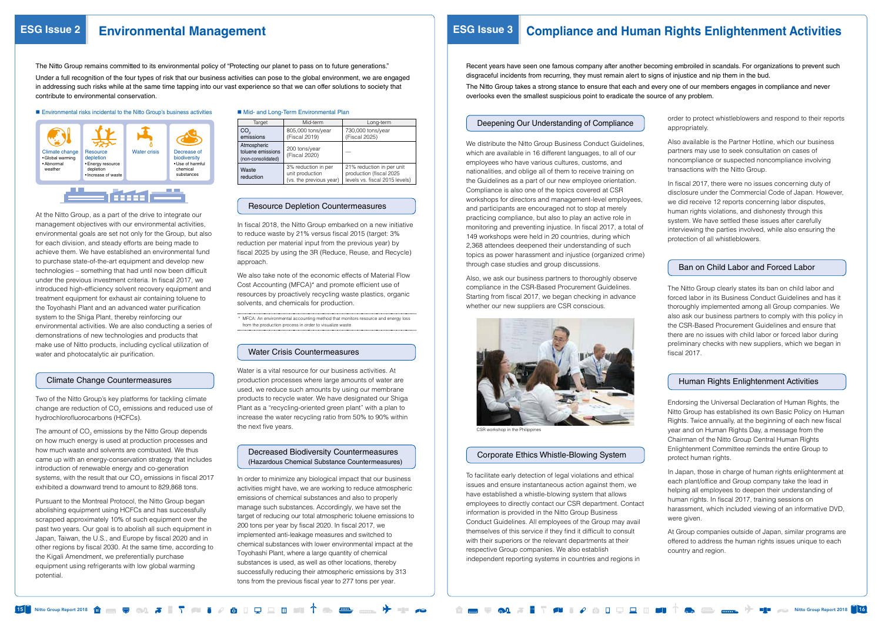15 Nitto Group Report 2018 Nitto Group Report 2018 16

At the Nitto Group, as a part of the drive to integrate our management objectives with our environmental activities, environmental goals are set not only for the Group, but also for each division, and steady efforts are being made to achieve them. We have established an environmental fund to purchase state-of-the-art equipment and develop new technologies – something that had until now been difficult under the previous investment criteria. In fiscal 2017, we introduced high-efficiency solvent recovery equipment and treatment equipment for exhaust air containing toluene to the Toyohashi Plant and an advanced water purification system to the Shiga Plant, thereby reinforcing our environmental activities. We are also conducting a series of demonstrations of new technologies and products that make use of Nitto products, including cyclical utilization of water and photocatalytic air purification.

The amount of  $CO<sub>2</sub>$  emissions by the Nitto Group depends on how much energy is used at production processes and how much waste and solvents are combusted. We thus came up with an energy-conservation strategy that includes introduction of renewable energy and co-generation systems, with the result that our CO<sub>2</sub> emissions in fiscal 2017 exhibited a downward trend to amount to 829,868 tons.

### Climate Change Countermeasures

Two of the Nitto Group's key platforms for tackling climate change are reduction of  $CO<sub>2</sub>$  emissions and reduced use of hydrochlorofluorocarbons (HCFCs).

We distribute the Nitto Group Business Conduct Guidelines. which are available in 16 different languages, to all of our employees who have various cultures, customs, and nationalities, and oblige all of them to receive training on the Guidelines as a part of our new employee orientation. Compliance is also one of the topics covered at CSR workshops for directors and management-level employees, and participants are encouraged not to stop at merely practicing compliance, but also to play an active role in monitoring and preventing injustice. In fiscal 2017, a total of 149 workshops were held in 20 countries, during which 2,368 attendees deepened their understanding of such topics as power harassment and injustice (organized crime) through case studies and group discussions.

Pursuant to the Montreal Protocol, the Nitto Group began abolishing equipment using HCFCs and has successfully scrapped approximately 10% of such equipment over the past two years. Our goal is to abolish all such equipment in Japan, Taiwan, the U.S., and Europe by fiscal 2020 and in other regions by fiscal 2030. At the same time, according to the Kigali Amendment, we preferentially purchase equipment using refrigerants with low global warming potential.

#### ■ Mid- and Long-Term Environmental Plan

### Deepening Our Understanding of Compliance

Also, we ask our business partners to thoroughly observe compliance in the CSR-Based Procurement Guidelines. Starting from fiscal 2017, we began checking in advance whether our new suppliers are CSR conscious.



CSR workshop in the Philippines

### Corporate Ethics Whistle-Blowing System

To facilitate early detection of legal violations and ethical issues and ensure instantaneous action against them, we have established a whistle-blowing system that allows employees to directly contact our CSR department. Contact information is provided in the Nitto Group Business Conduct Guidelines. All employees of the Group may avail themselves of this service if they find it difficult to consult with their superiors or the relevant departments at their respective Group companies. We also establish independent reporting systems in countries and regions in

| Target                                                 | Mid-term                                                          | Long-term                                                                              |  |
|--------------------------------------------------------|-------------------------------------------------------------------|----------------------------------------------------------------------------------------|--|
| CO.<br>emissions                                       | 805,000 tons/year<br>(Fiscal 2019)                                | 730,000 tons/year<br>(Fiscal 2025)                                                     |  |
| Atmospheric<br>toluene emissions<br>(non-consolidated) | 200 tons/year<br>(Fiscal 2020)                                    |                                                                                        |  |
| Waste<br>reduction                                     | 3% reduction in per<br>unit production<br>(vs. the previous year) | 21% reduction in per unit<br>production (fiscal 2025<br>levels vs. fiscal 2015 levels) |  |

### Resource Depletion Countermeasures

In fiscal 2018, the Nitto Group embarked on a new initiative to reduce waste by 21% versus fiscal 2015 (target: 3% reduction per material input from the previous year) by fiscal 2025 by using the 3R (Reduce, Reuse, and Recycle) approach.

We also take note of the economic effects of Material Flow Cost Accounting (MFCA)\* and promote efficient use of resources by proactively recycling waste plastics, organic solvents, and chemicals for production.

\* MFCA: An environmental accounting method that monitors resource and energy loss from the production process in order to visualize waste

### Water Crisis Countermeasures

Water is a vital resource for our business activities. At production processes where large amounts of water are used, we reduce such amounts by using our membrane products to recycle water. We have designated our Shiga Plant as a "recycling-oriented green plant" with a plan to increase the water recycling ratio from 50% to 90% within the next five years.

# Decreased Biodiversity Countermeasures (Hazardous Chemical Substance Countermeasures)

In order to minimize any biological impact that our business activities might have, we are working to reduce atmospheric emissions of chemical substances and also to properly manage such substances. Accordingly, we have set the target of reducing our total atmospheric toluene emissions to 200 tons per year by fiscal 2020. In fiscal 2017, we implemented anti-leakage measures and switched to chemical substances with lower environmental impact at the Toyohashi Plant, where a large quantity of chemical substances is used, as well as other locations, thereby successfully reducing their atmospheric emissions by 313 tons from the previous fiscal year to 277 tons per year.

# **ESG Issue 2 Environmental Management ESG Issue 3 Compliance and Human Rights Enlightenment Activities**

- 
- order to protect whistleblowers and respond to their reports appropriately.
- Also available is the Partner Hotline, which our business partners may use to seek consultation on cases of noncompliance or suspected noncompliance involving transactions with the Nitto Group.
- In fiscal 2017, there were no issues concerning duty of disclosure under the Commercial Code of Japan. However, we did receive 12 reports concerning labor disputes, human rights violations, and dishonesty through this system. We have settled these issues after carefully interviewing the parties involved, while also ensuring the protection of all whistleblowers.

# Ban on Child Labor and Forced Labor

The Nitto Group clearly states its ban on child labor and forced labor in its Business Conduct Guidelines and has it thoroughly implemented among all Group companies. We also ask our business partners to comply with this policy in the CSR-Based Procurement Guidelines and ensure that there are no issues with child labor or forced labor during preliminary checks with new suppliers, which we began in fiscal 2017.

# Human Rights Enlightenment Activities

Endorsing the Universal Declaration of Human Rights, the Nitto Group has established its own Basic Policy on Human Rights. Twice annually, at the beginning of each new fiscal year and on Human Rights Day, a message from the Chairman of the Nitto Group Central Human Rights Enlightenment Committee reminds the entire Group to protect human rights.

In Japan, those in charge of human rights enlightenment at each plant/office and Group company take the lead in helping all employees to deepen their understanding of human rights. In fiscal 2017, training sessions on harassment, which included viewing of an informative DVD, were given.

At Group companies outside of Japan, similar programs are offered to address the human rights issues unique to each country and region.





The Nitto Group remains committed to its environmental policy of "Protecting our planet to pass on to future generations."

Under a full recognition of the four types of risk that our business activities can pose to the global environment, we are engaged in addressing such risks while at the same time tapping into our vast experience so that we can offer solutions to society that contribute to environmental conservation.

#### ■ Environmental risks incidental to the Nitto Group's business activities

Recent years have seen one famous company after another becoming embroiled in scandals. For organizations to prevent such disgraceful incidents from recurring, they must remain alert to signs of injustice and nip them in the bud. The Nitto Group takes a strong stance to ensure that each and every one of our members engages in compliance and never overlooks even the smallest suspicious point to eradicate the source of any problem.